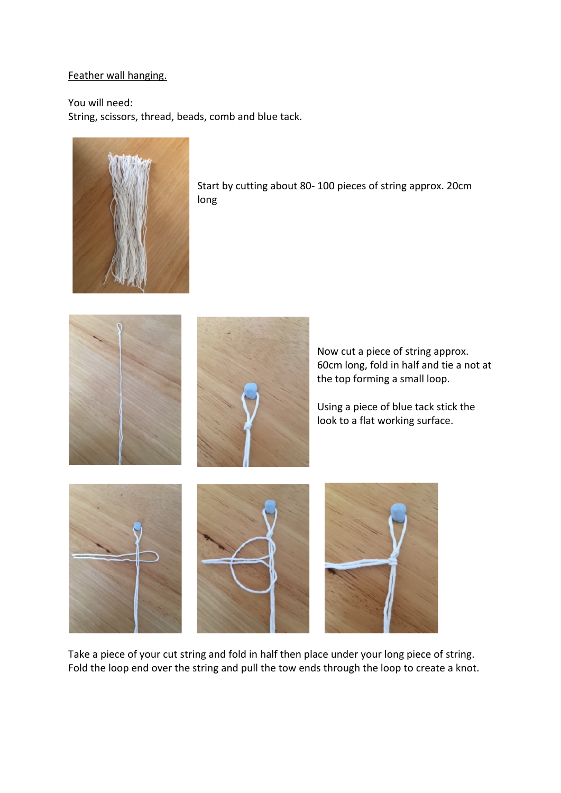## Feather wall hanging.

You will need: String, scissors, thread, beads, comb and blue tack.



Start by cutting about 80- 100 pieces of string approx. 20cm long



Take a piece of your cut string and fold in half then place under your long piece of string. Fold the loop end over the string and pull the tow ends through the loop to create a knot.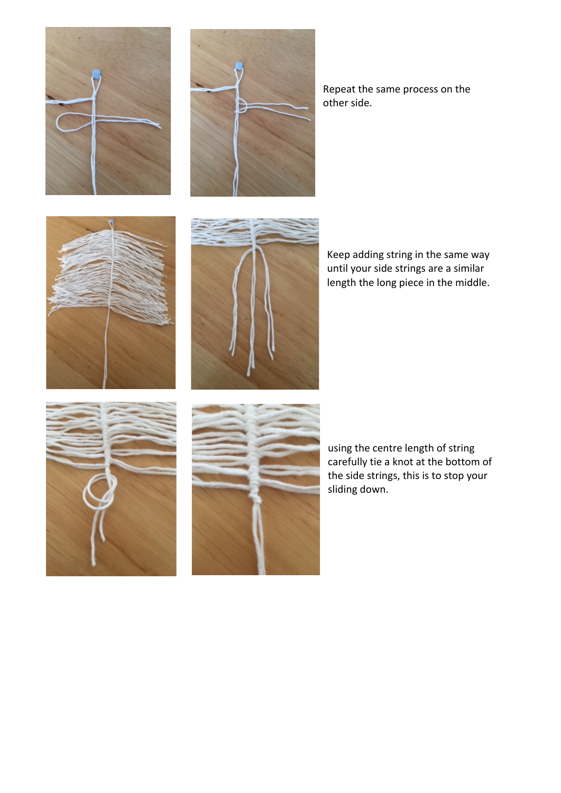



Repeat the same process on the other side.





Keep adding string in the same way until your side strings are a similar length the long piece in the middle.





using the centre length of string carefully tie a knot at the bottom of the side strings, this is to stop your sliding down.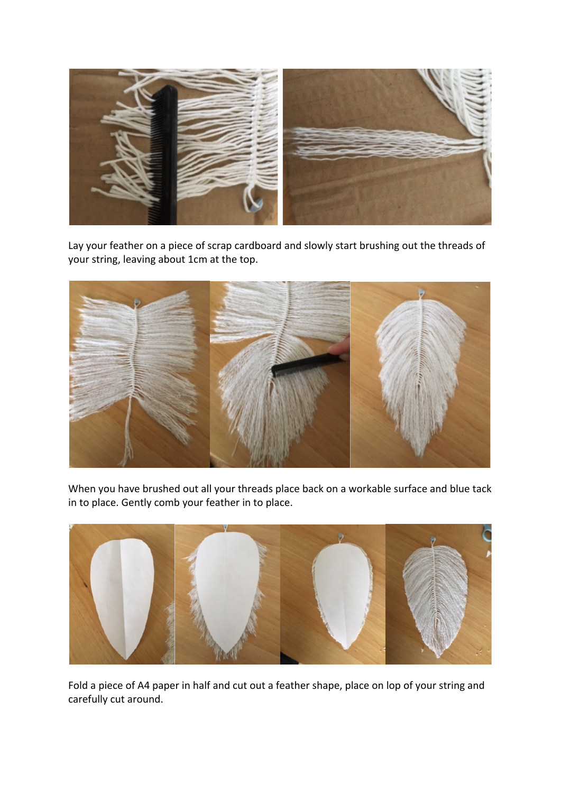

Lay your feather on a piece of scrap cardboard and slowly start brushing out the threads of your string, leaving about 1cm at the top.



When you have brushed out all your threads place back on a workable surface and blue tack in to place. Gently comb your feather in to place.



Fold a piece of A4 paper in half and cut out a feather shape, place on lop of your string and carefully cut around.